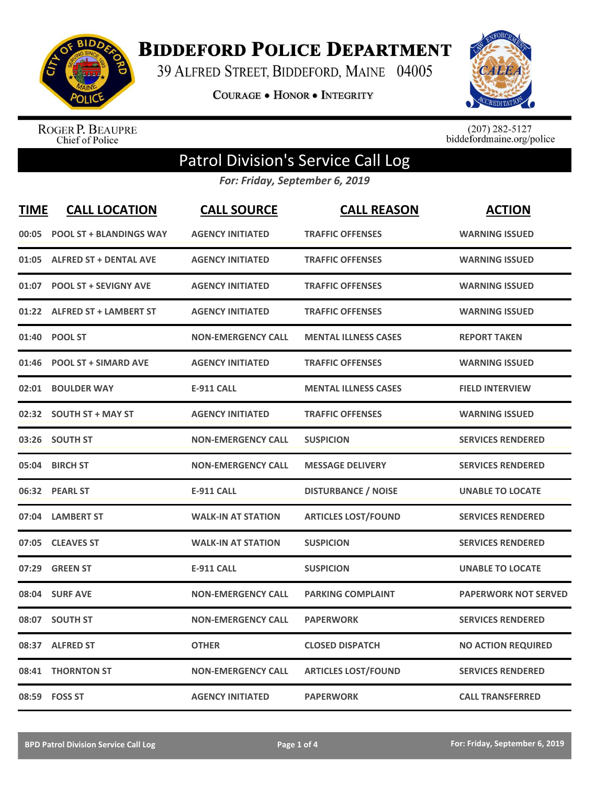

**BIDDEFORD POLICE DEPARTMENT** 

39 ALFRED STREET, BIDDEFORD, MAINE 04005

**COURAGE . HONOR . INTEGRITY** 



ROGER P. BEAUPRE<br>Chief of Police

 $(207)$  282-5127<br>biddefordmaine.org/police

## Patrol Division's Service Call Log

*For: Friday, September 6, 2019*

| <b>TIME</b> | <b>CALL LOCATION</b>           | <b>CALL SOURCE</b>        | <b>CALL REASON</b>          | <b>ACTION</b>               |
|-------------|--------------------------------|---------------------------|-----------------------------|-----------------------------|
| 00:05       | <b>POOL ST + BLANDINGS WAY</b> | <b>AGENCY INITIATED</b>   | <b>TRAFFIC OFFENSES</b>     | <b>WARNING ISSUED</b>       |
|             | 01:05 ALFRED ST + DENTAL AVE   | <b>AGENCY INITIATED</b>   | <b>TRAFFIC OFFENSES</b>     | <b>WARNING ISSUED</b>       |
| 01:07       | <b>POOL ST + SEVIGNY AVE</b>   | <b>AGENCY INITIATED</b>   | <b>TRAFFIC OFFENSES</b>     | <b>WARNING ISSUED</b>       |
|             | 01:22 ALFRED ST + LAMBERT ST   | <b>AGENCY INITIATED</b>   | <b>TRAFFIC OFFENSES</b>     | <b>WARNING ISSUED</b>       |
| 01:40       | <b>POOL ST</b>                 | <b>NON-EMERGENCY CALL</b> | <b>MENTAL ILLNESS CASES</b> | <b>REPORT TAKEN</b>         |
| 01:46       | <b>POOL ST + SIMARD AVE</b>    | <b>AGENCY INITIATED</b>   | <b>TRAFFIC OFFENSES</b>     | <b>WARNING ISSUED</b>       |
| 02:01       | <b>BOULDER WAY</b>             | <b>E-911 CALL</b>         | <b>MENTAL ILLNESS CASES</b> | <b>FIELD INTERVIEW</b>      |
|             | 02:32 SOUTH ST + MAY ST        | <b>AGENCY INITIATED</b>   | <b>TRAFFIC OFFENSES</b>     | <b>WARNING ISSUED</b>       |
|             | 03:26 SOUTH ST                 | <b>NON-EMERGENCY CALL</b> | <b>SUSPICION</b>            | <b>SERVICES RENDERED</b>    |
| 05:04       | <b>BIRCH ST</b>                | <b>NON-EMERGENCY CALL</b> | <b>MESSAGE DELIVERY</b>     | <b>SERVICES RENDERED</b>    |
|             | 06:32 PEARL ST                 | <b>E-911 CALL</b>         | <b>DISTURBANCE / NOISE</b>  | <b>UNABLE TO LOCATE</b>     |
|             | 07:04 LAMBERT ST               | <b>WALK-IN AT STATION</b> | <b>ARTICLES LOST/FOUND</b>  | <b>SERVICES RENDERED</b>    |
| 07:05       | <b>CLEAVES ST</b>              | <b>WALK-IN AT STATION</b> | <b>SUSPICION</b>            | <b>SERVICES RENDERED</b>    |
| 07:29       | <b>GREEN ST</b>                | <b>E-911 CALL</b>         | <b>SUSPICION</b>            | <b>UNABLE TO LOCATE</b>     |
| 08:04       | <b>SURF AVE</b>                | <b>NON-EMERGENCY CALL</b> | <b>PARKING COMPLAINT</b>    | <b>PAPERWORK NOT SERVED</b> |
| 08:07       | <b>SOUTH ST</b>                | <b>NON-EMERGENCY CALL</b> | <b>PAPERWORK</b>            | <b>SERVICES RENDERED</b>    |
| 08:37       | <b>ALFRED ST</b>               | <b>OTHER</b>              | <b>CLOSED DISPATCH</b>      | <b>NO ACTION REQUIRED</b>   |
|             | 08:41 THORNTON ST              | <b>NON-EMERGENCY CALL</b> | <b>ARTICLES LOST/FOUND</b>  | <b>SERVICES RENDERED</b>    |
|             | 08:59 FOSS ST                  | <b>AGENCY INITIATED</b>   | <b>PAPERWORK</b>            | <b>CALL TRANSFERRED</b>     |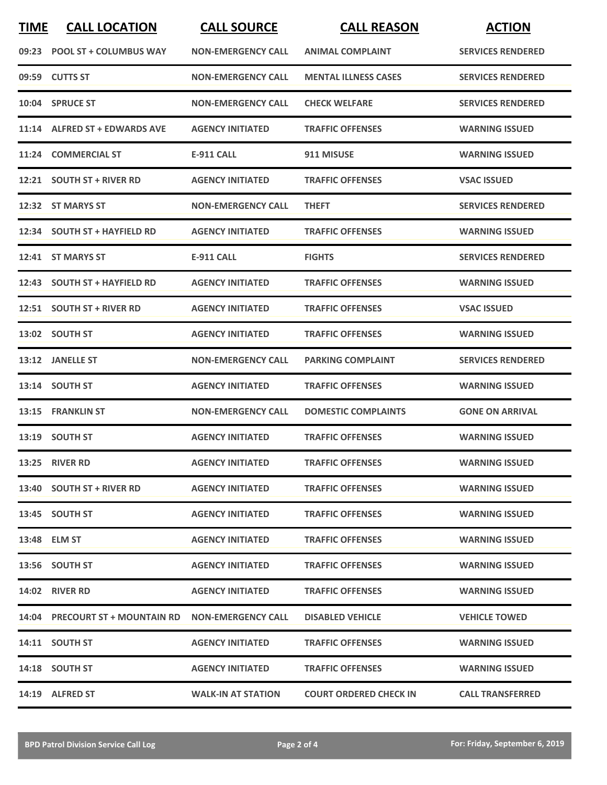| <b>TIME</b> | <b>CALL LOCATION</b>                               | <b>CALL SOURCE</b>        | <b>CALL REASON</b>            | <b>ACTION</b>            |
|-------------|----------------------------------------------------|---------------------------|-------------------------------|--------------------------|
|             | 09:23 POOL ST + COLUMBUS WAY                       | <b>NON-EMERGENCY CALL</b> | <b>ANIMAL COMPLAINT</b>       | <b>SERVICES RENDERED</b> |
|             | 09:59 CUTTS ST                                     | <b>NON-EMERGENCY CALL</b> | <b>MENTAL ILLNESS CASES</b>   | <b>SERVICES RENDERED</b> |
|             | 10:04 SPRUCE ST                                    | <b>NON-EMERGENCY CALL</b> | <b>CHECK WELFARE</b>          | <b>SERVICES RENDERED</b> |
|             | 11:14 ALFRED ST + EDWARDS AVE                      | <b>AGENCY INITIATED</b>   | <b>TRAFFIC OFFENSES</b>       | <b>WARNING ISSUED</b>    |
| 11:24       | <b>COMMERCIAL ST</b>                               | <b>E-911 CALL</b>         | 911 MISUSE                    | <b>WARNING ISSUED</b>    |
|             | 12:21 SOUTH ST + RIVER RD                          | <b>AGENCY INITIATED</b>   | <b>TRAFFIC OFFENSES</b>       | <b>VSAC ISSUED</b>       |
|             | 12:32 ST MARYS ST                                  | <b>NON-EMERGENCY CALL</b> | <b>THEFT</b>                  | <b>SERVICES RENDERED</b> |
|             | 12:34 SOUTH ST + HAYFIELD RD                       | <b>AGENCY INITIATED</b>   | <b>TRAFFIC OFFENSES</b>       | <b>WARNING ISSUED</b>    |
|             | 12:41 ST MARYS ST                                  | E-911 CALL                | <b>FIGHTS</b>                 | <b>SERVICES RENDERED</b> |
|             | 12:43 SOUTH ST + HAYFIELD RD                       | <b>AGENCY INITIATED</b>   | <b>TRAFFIC OFFENSES</b>       | <b>WARNING ISSUED</b>    |
|             | 12:51 SOUTH ST + RIVER RD                          | <b>AGENCY INITIATED</b>   | <b>TRAFFIC OFFENSES</b>       | <b>VSAC ISSUED</b>       |
|             | 13:02 SOUTH ST                                     | <b>AGENCY INITIATED</b>   | <b>TRAFFIC OFFENSES</b>       | <b>WARNING ISSUED</b>    |
|             | 13:12 JANELLE ST                                   | <b>NON-EMERGENCY CALL</b> | <b>PARKING COMPLAINT</b>      | <b>SERVICES RENDERED</b> |
|             | 13:14 SOUTH ST                                     | <b>AGENCY INITIATED</b>   | <b>TRAFFIC OFFENSES</b>       | <b>WARNING ISSUED</b>    |
|             | 13:15 FRANKLIN ST                                  | <b>NON-EMERGENCY CALL</b> | <b>DOMESTIC COMPLAINTS</b>    | <b>GONE ON ARRIVAL</b>   |
|             | 13:19 SOUTH ST                                     | <b>AGENCY INITIATED</b>   | <b>TRAFFIC OFFENSES</b>       | <b>WARNING ISSUED</b>    |
|             | 13:25 RIVER RD                                     | <b>AGENCY INITIATED</b>   | <b>TRAFFIC OFFENSES</b>       | <b>WARNING ISSUED</b>    |
|             | 13:40 SOUTH ST + RIVER RD                          | <b>AGENCY INITIATED</b>   | <b>TRAFFIC OFFENSES</b>       | <b>WARNING ISSUED</b>    |
|             | 13:45 SOUTH ST                                     | <b>AGENCY INITIATED</b>   | <b>TRAFFIC OFFENSES</b>       | <b>WARNING ISSUED</b>    |
|             | 13:48 ELM ST                                       | <b>AGENCY INITIATED</b>   | <b>TRAFFIC OFFENSES</b>       | <b>WARNING ISSUED</b>    |
|             | 13:56 SOUTH ST                                     | <b>AGENCY INITIATED</b>   | <b>TRAFFIC OFFENSES</b>       | <b>WARNING ISSUED</b>    |
|             | <b>14:02 RIVER RD</b>                              | <b>AGENCY INITIATED</b>   | <b>TRAFFIC OFFENSES</b>       | <b>WARNING ISSUED</b>    |
|             | 14:04 PRECOURT ST + MOUNTAIN RD NON-EMERGENCY CALL |                           | <b>DISABLED VEHICLE</b>       | <b>VEHICLE TOWED</b>     |
|             | 14:11 SOUTH ST                                     | <b>AGENCY INITIATED</b>   | <b>TRAFFIC OFFENSES</b>       | <b>WARNING ISSUED</b>    |
|             | 14:18 SOUTH ST                                     | <b>AGENCY INITIATED</b>   | <b>TRAFFIC OFFENSES</b>       | <b>WARNING ISSUED</b>    |
|             | 14:19 ALFRED ST                                    | <b>WALK-IN AT STATION</b> | <b>COURT ORDERED CHECK IN</b> | <b>CALL TRANSFERRED</b>  |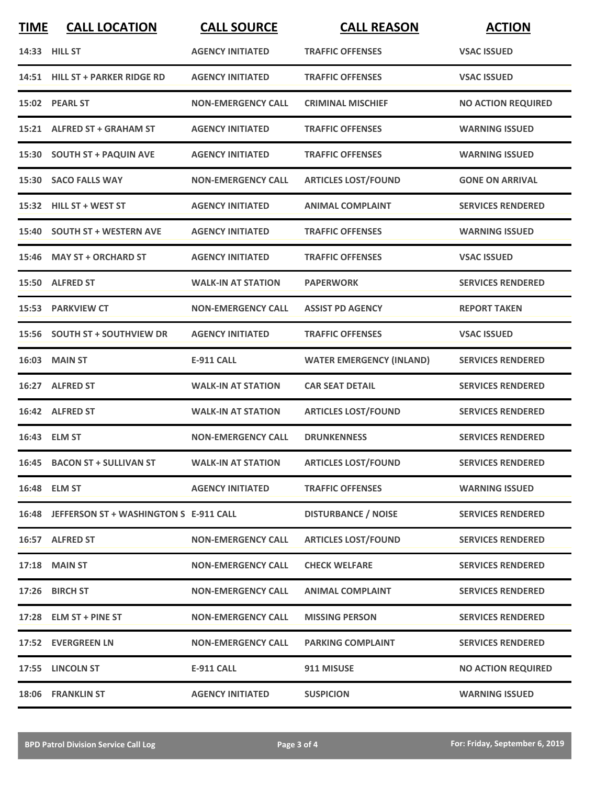| <b>TIME</b> | <b>CALL LOCATION</b>                         | <b>CALL SOURCE</b>        | <b>CALL REASON</b>              | <b>ACTION</b>             |
|-------------|----------------------------------------------|---------------------------|---------------------------------|---------------------------|
|             | 14:33 HILL ST                                | <b>AGENCY INITIATED</b>   | <b>TRAFFIC OFFENSES</b>         | <b>VSAC ISSUED</b>        |
|             | 14:51 HILL ST + PARKER RIDGE RD              | <b>AGENCY INITIATED</b>   | <b>TRAFFIC OFFENSES</b>         | <b>VSAC ISSUED</b>        |
|             | 15:02 PEARL ST                               | <b>NON-EMERGENCY CALL</b> | <b>CRIMINAL MISCHIEF</b>        | <b>NO ACTION REQUIRED</b> |
|             | 15:21 ALFRED ST + GRAHAM ST                  | <b>AGENCY INITIATED</b>   | <b>TRAFFIC OFFENSES</b>         | <b>WARNING ISSUED</b>     |
|             | 15:30 SOUTH ST + PAQUIN AVE                  | <b>AGENCY INITIATED</b>   | <b>TRAFFIC OFFENSES</b>         | <b>WARNING ISSUED</b>     |
|             | 15:30 SACO FALLS WAY                         | <b>NON-EMERGENCY CALL</b> | <b>ARTICLES LOST/FOUND</b>      | <b>GONE ON ARRIVAL</b>    |
|             | 15:32 HILL ST + WEST ST                      | <b>AGENCY INITIATED</b>   | <b>ANIMAL COMPLAINT</b>         | <b>SERVICES RENDERED</b>  |
| 15:40       | <b>SOUTH ST + WESTERN AVE</b>                | <b>AGENCY INITIATED</b>   | <b>TRAFFIC OFFENSES</b>         | <b>WARNING ISSUED</b>     |
|             | 15:46 MAY ST + ORCHARD ST                    | <b>AGENCY INITIATED</b>   | <b>TRAFFIC OFFENSES</b>         | <b>VSAC ISSUED</b>        |
|             | 15:50 ALFRED ST                              | <b>WALK-IN AT STATION</b> | <b>PAPERWORK</b>                | <b>SERVICES RENDERED</b>  |
|             | 15:53 PARKVIEW CT                            | <b>NON-EMERGENCY CALL</b> | <b>ASSIST PD AGENCY</b>         | <b>REPORT TAKEN</b>       |
|             | 15:56 SOUTH ST + SOUTHVIEW DR                | <b>AGENCY INITIATED</b>   | <b>TRAFFIC OFFENSES</b>         | <b>VSAC ISSUED</b>        |
|             | <b>16:03 MAIN ST</b>                         | <b>E-911 CALL</b>         | <b>WATER EMERGENCY (INLAND)</b> | <b>SERVICES RENDERED</b>  |
| 16:27       | <b>ALFRED ST</b>                             | <b>WALK-IN AT STATION</b> | <b>CAR SEAT DETAIL</b>          | <b>SERVICES RENDERED</b>  |
|             | 16:42 ALFRED ST                              | <b>WALK-IN AT STATION</b> | <b>ARTICLES LOST/FOUND</b>      | <b>SERVICES RENDERED</b>  |
|             | 16:43 ELM ST                                 | <b>NON-EMERGENCY CALL</b> | <b>DRUNKENNESS</b>              | <b>SERVICES RENDERED</b>  |
|             | 16:45 BACON ST + SULLIVAN ST                 | <b>WALK-IN AT STATION</b> | <b>ARTICLES LOST/FOUND</b>      | <b>SERVICES RENDERED</b>  |
|             | 16:48 ELM ST                                 | <b>AGENCY INITIATED</b>   | <b>TRAFFIC OFFENSES</b>         | <b>WARNING ISSUED</b>     |
|             | 16:48 JEFFERSON ST + WASHINGTON S E-911 CALL |                           | <b>DISTURBANCE / NOISE</b>      | <b>SERVICES RENDERED</b>  |
|             | 16:57 ALFRED ST                              | <b>NON-EMERGENCY CALL</b> | <b>ARTICLES LOST/FOUND</b>      | <b>SERVICES RENDERED</b>  |
|             | 17:18 MAIN ST                                | <b>NON-EMERGENCY CALL</b> | <b>CHECK WELFARE</b>            | <b>SERVICES RENDERED</b>  |
|             | 17:26 BIRCH ST                               | <b>NON-EMERGENCY CALL</b> | <b>ANIMAL COMPLAINT</b>         | <b>SERVICES RENDERED</b>  |
|             | 17:28 ELM ST + PINE ST                       | <b>NON-EMERGENCY CALL</b> | <b>MISSING PERSON</b>           | <b>SERVICES RENDERED</b>  |
|             | 17:52 EVERGREEN LN                           | <b>NON-EMERGENCY CALL</b> | <b>PARKING COMPLAINT</b>        | <b>SERVICES RENDERED</b>  |
|             | 17:55 LINCOLN ST                             | <b>E-911 CALL</b>         | 911 MISUSE                      | <b>NO ACTION REQUIRED</b> |
|             | 18:06 FRANKLIN ST                            | <b>AGENCY INITIATED</b>   | <b>SUSPICION</b>                | <b>WARNING ISSUED</b>     |